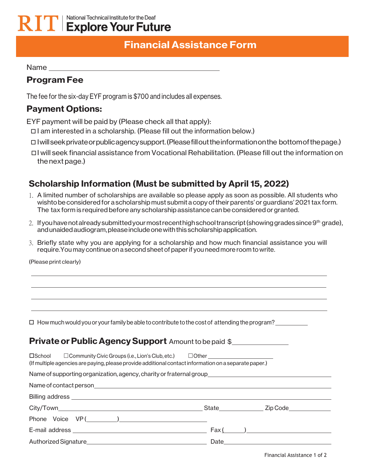## National Technical Institute for the Deaf  $\mathbf{K}$   $\mathbf{I}$   $\mathbf{I}$  Explore Your Future

# **Financial Assistance Form**

Name and the state of the state of the state of the state of the state of the state of the state of the state of the state of the state of the state of the state of the state of the state of the state of the state of the s

## **Program Fee**

The fee for the six-day EYF program is \$700 and includes all expenses.

### **Payment Options:**

EYF payment will be paid by (Please check all that apply):

- $\Box$  I am interested in a scholarship. (Please fill out the information below.)
- I willseekprivateorpublicagencysupport.(Pleasefillouttheinformationonthe bottomofthepage.)
- I will seek financial assistance from Vocational Rehabilitation. (Please fill out the information on thenextpage.)

## **Scholarship Information (Must be submitted by April 15, 2022)**

- 1. A limited number of scholarships are available so please apply as soon as possible. All students who wishto be considered for a scholarship must submit a copy of their parents' or guardians' 2021 tax form. The tax form is required before any scholarship assistance can be considered or granted.
- 2. If you have not already submitted your most recent high school transcript (showing grades since 9<sup>th</sup> grade), andunaidedaudiogram,pleaseincludeonewiththisscholarshipapplication.
- 3. Briefly state why you are applying for a scholarship and how much financial assistance you will require.You may continue on a secondsheet of paperif you need more room towrite.

(Please print clearly)

 $\Box$  How much would you or your family be able to contribute to the cost of attending the program?

#### **Private or Public Agency Support** Amount to be paid \$

| □School □ Community Civic Groups (i.e., Lion's Club, etc.) □ Other ______________<br>(If multiple agencies are paying, please provide additional contact information on a separate paper.) |
|--------------------------------------------------------------------------------------------------------------------------------------------------------------------------------------------|
| Name of supporting organization, agency, charity or fraternal group________________________________                                                                                        |
|                                                                                                                                                                                            |
|                                                                                                                                                                                            |
| State Zip Code                                                                                                                                                                             |
|                                                                                                                                                                                            |
| $\text{Fax}(\_\_\_\_\_\_\_\$                                                                                                                                                               |
|                                                                                                                                                                                            |